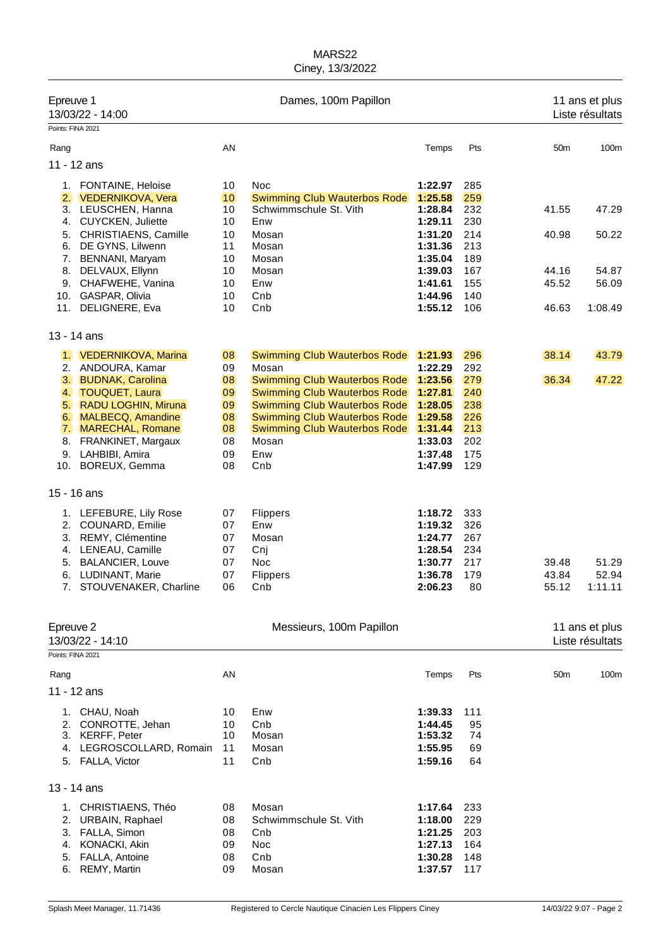|                   | Epreuve 1<br>13/03/22 - 14:00 |    | Dames, 100m Papillon                |         | 11 ans et plus<br>Liste résultats |                 |                                   |
|-------------------|-------------------------------|----|-------------------------------------|---------|-----------------------------------|-----------------|-----------------------------------|
| Points: FINA 2021 |                               |    |                                     |         |                                   |                 |                                   |
| Rang              |                               | AN |                                     | Temps   | Pts                               | 50 <sub>m</sub> | 100m                              |
| 11 - 12 ans       |                               |    |                                     |         |                                   |                 |                                   |
|                   | 1. FONTAINE, Heloise          | 10 | Noc                                 | 1:22.97 | 285                               |                 |                                   |
|                   | 2. VEDERNIKOVA, Vera          | 10 | <b>Swimming Club Wauterbos Rode</b> | 1:25.58 | 259                               |                 |                                   |
|                   | 3. LEUSCHEN, Hanna            | 10 | Schwimmschule St. Vith              | 1:28.84 | 232                               | 41.55           | 47.29                             |
|                   | 4. CUYCKEN, Juliette          | 10 | Enw                                 | 1:29.11 | 230                               |                 |                                   |
| 5.                | CHRISTIAENS, Camille          | 10 | Mosan                               | 1:31.20 | 214                               | 40.98           | 50.22                             |
| 6.                | DE GYNS, Lilwenn              | 11 | Mosan                               | 1:31.36 | 213                               |                 |                                   |
| 7.                | BENNANI, Maryam               | 10 | Mosan                               | 1:35.04 | 189                               |                 |                                   |
| 8.                | DELVAUX, Ellynn               | 10 | Mosan                               | 1:39.03 | 167                               | 44.16           | 54.87                             |
| 9.                | CHAFWEHE, Vanina              | 10 | Enw                                 | 1:41.61 | 155                               | 45.52           | 56.09                             |
|                   | 10. GASPAR, Olivia            | 10 | Cnb                                 | 1:44.96 | 140                               |                 |                                   |
| 11.               | DELIGNERE, Eva                | 10 | Cnb                                 | 1:55.12 | 106                               | 46.63           | 1:08.49                           |
| 13 - 14 ans       |                               |    |                                     |         |                                   |                 |                                   |
|                   | 1. VEDERNIKOVA, Marina        | 08 | <b>Swimming Club Wauterbos Rode</b> | 1:21.93 | 296                               | 38.14           | 43.79                             |
|                   | 2. ANDOURA, Kamar             | 09 | Mosan                               | 1:22.29 | 292                               |                 |                                   |
| 3.                | <b>BUDNAK, Carolina</b>       | 08 | Swimming Club Wauterbos Rode        | 1:23.56 | 279                               | 36.34           | 47.22                             |
| 4.                | <b>TOUQUET, Laura</b>         | 09 | <b>Swimming Club Wauterbos Rode</b> | 1:27.81 | 240                               |                 |                                   |
| 5.                | <b>RADU LOGHIN, Miruna</b>    | 09 | Swimming Club Wauterbos Rode        | 1:28.05 | 238                               |                 |                                   |
| 6.                | <b>MALBECQ, Amandine</b>      | 08 | Swimming Club Wauterbos Rode        | 1:29.58 | 226                               |                 |                                   |
| 7.                | MARECHAL, Romane              | 08 | <b>Swimming Club Wauterbos Rode</b> | 1:31.44 | 213                               |                 |                                   |
| 8.                | FRANKINET, Margaux            | 08 | Mosan                               | 1:33.03 | 202                               |                 |                                   |
|                   | 9. LAHBIBI, Amira             | 09 | Enw                                 | 1:37.48 | 175                               |                 |                                   |
|                   | 10. BOREUX, Gemma             | 08 | Cnb                                 | 1:47.99 | 129                               |                 |                                   |
| 15 - 16 ans       |                               |    |                                     |         |                                   |                 |                                   |
|                   | 1. LEFEBURE, Lily Rose        | 07 | <b>Flippers</b>                     | 1:18.72 | 333                               |                 |                                   |
| 2.                | COUNARD, Emilie               | 07 | Enw                                 | 1:19.32 | 326                               |                 |                                   |
|                   | 3. REMY, Clémentine           | 07 | Mosan                               | 1:24.77 | 267                               |                 |                                   |
| 4.                | LENEAU, Camille               | 07 | Cnj                                 | 1:28.54 | 234                               |                 |                                   |
| 5.                | <b>BALANCIER, Louve</b>       | 07 | Noc                                 | 1:30.77 | 217                               | 39.48           | 51.29                             |
| 6.                | LUDINANT, Marie               | 07 | Flippers                            | 1:36.78 | 179                               | 43.84           | 52.94                             |
| 7.                | STOUVENAKER, Charline         | 06 | Cnb                                 | 2:06.23 | 80                                | 55.12           | 1:11.11                           |
|                   |                               |    |                                     |         |                                   |                 |                                   |
| Epreuve 2         | 13/03/22 - 14:10              |    | Messieurs, 100m Papillon            |         |                                   |                 | 11 ans et plus<br>Liste résultats |
| Points: FINA 2021 |                               |    |                                     |         |                                   |                 |                                   |
| Rang              |                               | AN |                                     | Temps   | Pts                               | 50 <sub>m</sub> | 100m                              |
| 11 - 12 ans       |                               |    |                                     |         |                                   |                 |                                   |
|                   | 1. CHAU, Noah                 | 10 | Enw                                 | 1:39.33 | 111                               |                 |                                   |
| 2.                | CONROTTE, Jehan               | 10 | Cnb                                 | 1:44.45 | 95                                |                 |                                   |
|                   | 3. KERFF, Peter               | 10 | Mosan                               | 1:53.32 | 74                                |                 |                                   |
| 4.                | LEGROSCOLLARD, Romain         | 11 | Mosan                               | 1:55.95 | 69                                |                 |                                   |
|                   | 5. FALLA, Victor              | 11 | Cnb                                 | 1:59.16 | 64                                |                 |                                   |
| 13 - 14 ans       |                               |    |                                     |         |                                   |                 |                                   |
|                   | 1. CHRISTIAENS, Théo          | 08 | Mosan                               | 1:17.64 | 233                               |                 |                                   |
| 2.                | URBAIN, Raphael               | 08 | Schwimmschule St. Vith              | 1:18.00 | 229                               |                 |                                   |
| 3.                | FALLA, Simon                  | 08 | Cnb                                 | 1:21.25 | 203                               |                 |                                   |
| 4.                | <b>KONACKI, Akin</b>          | 09 | Noc                                 | 1:27.13 | 164                               |                 |                                   |
| 5.                | FALLA, Antoine                | 08 | Cnb                                 | 1:30.28 | 148                               |                 |                                   |
| 6.                | REMY, Martin                  | 09 | Mosan                               | 1:37.57 | 117                               |                 |                                   |
|                   |                               |    |                                     |         |                                   |                 |                                   |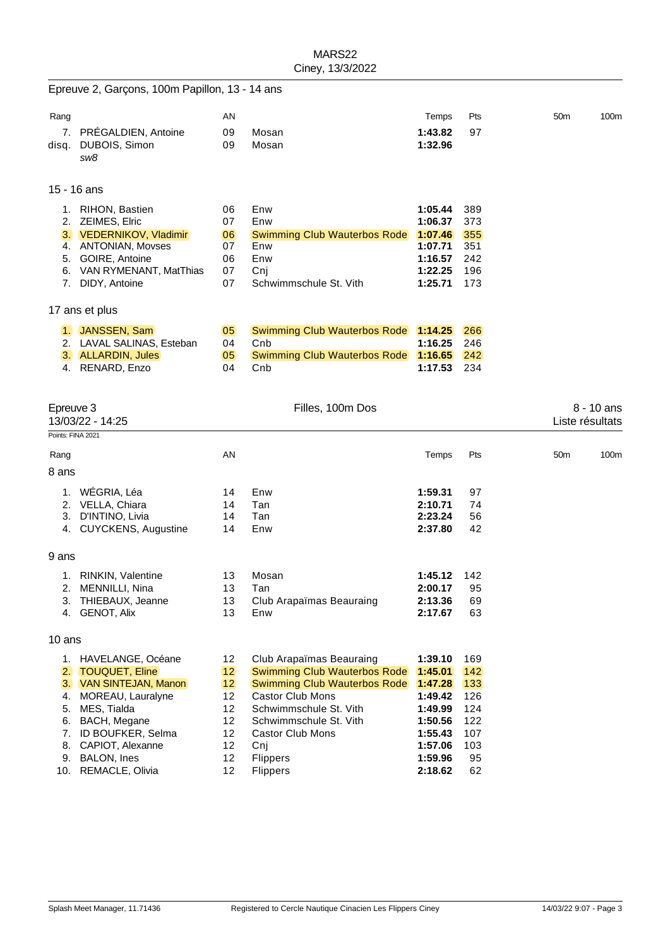|                                        | Epreuve 2, Garçons, 100m Papillon, 13 - 14 ans                                                                                                                                                                    |                                                          |                                                                                                                                                                                                                                                 |                                                                                                            |                                                                  |                                 |
|----------------------------------------|-------------------------------------------------------------------------------------------------------------------------------------------------------------------------------------------------------------------|----------------------------------------------------------|-------------------------------------------------------------------------------------------------------------------------------------------------------------------------------------------------------------------------------------------------|------------------------------------------------------------------------------------------------------------|------------------------------------------------------------------|---------------------------------|
| Rang                                   |                                                                                                                                                                                                                   | ΑN                                                       |                                                                                                                                                                                                                                                 | Temps                                                                                                      | Pts                                                              | 50 <sub>m</sub><br>100m         |
| disq.                                  | 7. PRÉGALDIEN, Antoine<br>DUBOIS, Simon<br>sw8                                                                                                                                                                    | 09<br>09                                                 | Mosan<br>Mosan                                                                                                                                                                                                                                  | 1:43.82<br>1:32.96                                                                                         | 97                                                               |                                 |
|                                        | 15 - 16 ans                                                                                                                                                                                                       |                                                          |                                                                                                                                                                                                                                                 |                                                                                                            |                                                                  |                                 |
|                                        | 1. RIHON, Bastien<br>2. ZEIMES, Elric<br>3. VEDERNIKOV, Vladimir<br>4. ANTONIAN, Movses<br>5. GOIRE, Antoine<br>6. VAN RYMENANT, MatThias<br>7. DIDY, Antoine                                                     | 06<br>07<br>06<br>07<br>06<br>07<br>07                   | Enw<br>Enw<br><b>Swimming Club Wauterbos Rode</b><br>Enw<br>Enw<br>Cnj<br>Schwimmschule St. Vith                                                                                                                                                | 1:05.44<br>1:06.37<br>1:07.46<br>1:07.71<br>1:16.57<br>1:22.25<br>1:25.71                                  | 389<br>373<br>355<br>351<br>242<br>196<br>173                    |                                 |
|                                        | 17 ans et plus                                                                                                                                                                                                    |                                                          |                                                                                                                                                                                                                                                 |                                                                                                            |                                                                  |                                 |
|                                        | 1. JANSSEN, Sam<br>2. LAVAL SALINAS, Esteban<br>3. ALLARDIN, Jules<br>4. RENARD, Enzo                                                                                                                             | 05<br>04<br>05<br>04                                     | <b>Swimming Club Wauterbos Rode</b><br>Cnb<br><b>Swimming Club Wauterbos Rode</b><br>Cnb                                                                                                                                                        | 1:14.25<br>1:16.25<br>1:16.65<br>1:17.53                                                                   | 266<br>246<br>242<br>234                                         |                                 |
| Epreuve 3<br>Points: FINA 2021         | 13/03/22 - 14:25                                                                                                                                                                                                  |                                                          | Filles, 100m Dos                                                                                                                                                                                                                                |                                                                                                            |                                                                  | $8 - 10$ ans<br>Liste résultats |
| Rang                                   |                                                                                                                                                                                                                   | ΑN                                                       |                                                                                                                                                                                                                                                 | Temps                                                                                                      | Pts                                                              | 50 <sub>m</sub><br>100m         |
| 8 ans                                  |                                                                                                                                                                                                                   |                                                          |                                                                                                                                                                                                                                                 |                                                                                                            |                                                                  |                                 |
|                                        | 1. WÉGRIA, Léa<br>2. VELLA, Chiara<br>3. D'INTINO, Livia<br>4. CUYCKENS, Augustine                                                                                                                                | 14<br>14<br>14<br>14                                     | Enw<br>Tan<br>Tan<br>Enw                                                                                                                                                                                                                        | 1:59.31<br>2:10.71<br>2:23.24<br>2:37.80                                                                   | 97<br>74<br>56<br>42                                             |                                 |
| 9 ans                                  |                                                                                                                                                                                                                   |                                                          |                                                                                                                                                                                                                                                 |                                                                                                            |                                                                  |                                 |
| 3.<br>4.                               | 1. RINKIN, Valentine<br>2. MENNILLI, Nina<br>THIEBAUX, Jeanne<br><b>GENOT, Alix</b>                                                                                                                               | 13<br>13<br>13<br>13                                     | Mosan<br>Tan<br>Club Arapaïmas Beauraing<br>Enw                                                                                                                                                                                                 | 1:45.12<br>2:00.17<br>2:13.36<br>2:17.67                                                                   | -142<br>95<br>69<br>63                                           |                                 |
| 10 ans                                 |                                                                                                                                                                                                                   |                                                          |                                                                                                                                                                                                                                                 |                                                                                                            |                                                                  |                                 |
| 2.<br>3.<br>4.<br>5.<br>6.<br>7.<br>8. | 1. HAVELANGE, Océane<br><b>TOUQUET, Eline</b><br><b>VAN SINTEJAN, Manon</b><br>MOREAU, Lauralyne<br>MES, Tialda<br>BACH, Megane<br>ID BOUFKER, Selma<br>CAPIOT, Alexanne<br>9. BALON, Ines<br>10. REMACLE, Olivia | 12<br>12<br>12<br>12<br>12<br>12<br>12<br>12<br>12<br>12 | Club Arapaïmas Beauraing<br><b>Swimming Club Wauterbos Rode</b><br>Swimming Club Wauterbos Rode<br><b>Castor Club Mons</b><br>Schwimmschule St. Vith<br>Schwimmschule St. Vith<br><b>Castor Club Mons</b><br>Cnj<br>Flippers<br><b>Flippers</b> | 1:39.10<br>1:45.01<br>1:47.28<br>1:49.42<br>1:49.99<br>1:50.56<br>1:55.43<br>1:57.06<br>1:59.96<br>2:18.62 | 169<br>142<br>133<br>126<br>124<br>122<br>107<br>103<br>95<br>62 |                                 |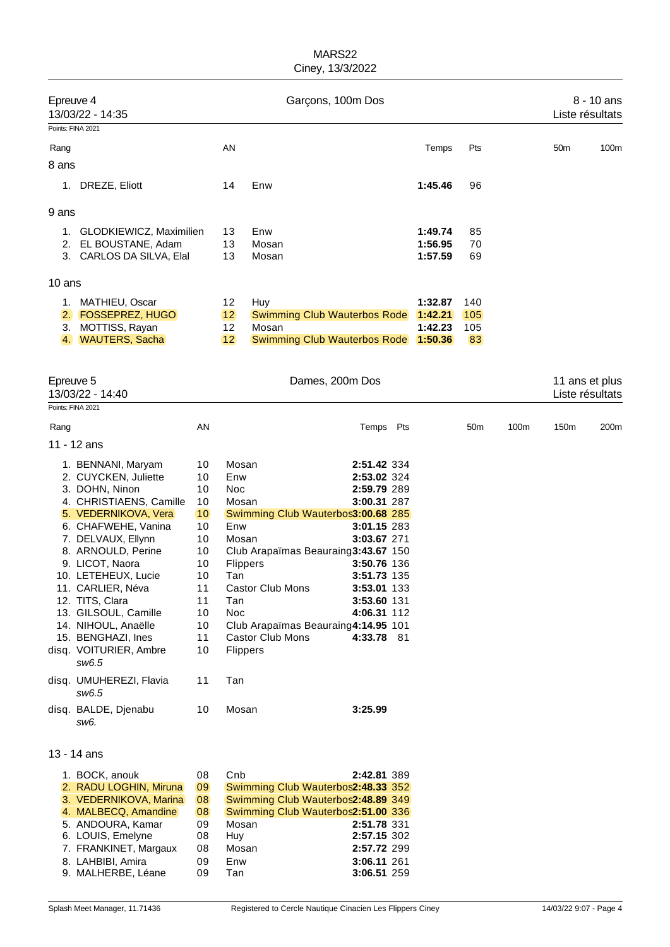| Epreuve 4<br>13/03/22 - 14:35 |                                           |          | Garçons, 100m Dos |                  |                                      |  |                    |                 |      | 8 - 10 ans<br>Liste résultats |                |  |
|-------------------------------|-------------------------------------------|----------|-------------------|------------------|--------------------------------------|--|--------------------|-----------------|------|-------------------------------|----------------|--|
| Points: FINA 2021             |                                           |          |                   |                  |                                      |  |                    |                 |      |                               |                |  |
| Rang                          |                                           |          | AN                |                  |                                      |  | Temps              | Pts             |      | 50 <sub>m</sub>               | 100m           |  |
| 8 ans                         |                                           |          |                   |                  |                                      |  |                    |                 |      |                               |                |  |
|                               | 1. DREZE, Eliott                          |          | 14                | Enw              |                                      |  | 1:45.46            | 96              |      |                               |                |  |
| 9 ans                         |                                           |          |                   |                  |                                      |  |                    |                 |      |                               |                |  |
|                               | 1. GLODKIEWICZ, Maximilien                |          | 13                | Enw              |                                      |  | 1:49.74            | 85              |      |                               |                |  |
|                               | 2. EL BOUSTANE, Adam                      |          | 13                | Mosan            |                                      |  | 1:56.95            | 70              |      |                               |                |  |
|                               | 3. CARLOS DA SILVA, Elal                  |          | 13                | Mosan            |                                      |  | 1:57.59            | 69              |      |                               |                |  |
| 10 ans                        |                                           |          |                   |                  |                                      |  |                    |                 |      |                               |                |  |
|                               | 1. MATHIEU, Oscar                         |          | 12                | Huy              |                                      |  | 1:32.87            | 140             |      |                               |                |  |
| 2.<br>3.                      | <b>FOSSEPREZ, HUGO</b>                    |          | 12<br>12          | Mosan            | Swimming Club Wauterbos Rode         |  | 1:42.21<br>1:42.23 | 105             |      |                               |                |  |
|                               | MOTTISS, Rayan<br>4. WAUTERS, Sacha       |          | 12                |                  | Swimming Club Wauterbos Rode 1:50.36 |  |                    | 105<br>83       |      |                               |                |  |
|                               |                                           |          |                   |                  |                                      |  |                    |                 |      |                               |                |  |
| Epreuve 5                     | 13/03/22 - 14:40                          |          |                   |                  | Dames, 200m Dos                      |  |                    |                 |      | Liste résultats               | 11 ans et plus |  |
| Points: FINA 2021             |                                           |          |                   |                  |                                      |  |                    |                 |      |                               |                |  |
| Rang                          |                                           | ΑN       |                   |                  | Temps Pts                            |  |                    | 50 <sub>m</sub> | 100m | 150m                          | 200m           |  |
|                               | 11 - 12 ans                               |          |                   |                  |                                      |  |                    |                 |      |                               |                |  |
|                               | 1. BENNANI, Maryam                        | 10       | Mosan             |                  | 2:51.42 334                          |  |                    |                 |      |                               |                |  |
|                               | 2. CUYCKEN, Juliette                      | 10       | Enw               |                  | 2:53.02 324                          |  |                    |                 |      |                               |                |  |
|                               | 3. DOHN, Ninon<br>4. CHRISTIAENS, Camille | 10<br>10 | Noc<br>Mosan      |                  | 2:59.79 289<br>3:00.31 287           |  |                    |                 |      |                               |                |  |
|                               | 5. VEDERNIKOVA, Vera                      | 10       |                   |                  | Swimming Club Wauterbos3:00.68 285   |  |                    |                 |      |                               |                |  |
|                               | 6. CHAFWEHE, Vanina                       | 10       | Enw               |                  | 3:01.15 283                          |  |                    |                 |      |                               |                |  |
|                               | 7. DELVAUX, Ellynn                        | 10       | Mosan             |                  | 3:03.67 271                          |  |                    |                 |      |                               |                |  |
|                               | 8. ARNOULD, Perine                        | 10       |                   |                  | Club Arapaïmas Beauraing3:43.67 150  |  |                    |                 |      |                               |                |  |
|                               | 9. LICOT, Naora                           | 10       | Flippers          |                  | 3:50.76 136                          |  |                    |                 |      |                               |                |  |
|                               | 10. LETEHEUX, Lucie                       | 10       | Tan               |                  | 3:51.73 135                          |  |                    |                 |      |                               |                |  |
|                               | 11. CARLIER, Néva<br>12. TITS, Clara      | 11<br>11 | Tan               | Castor Club Mons | 3:53.01 133<br>3:53.60 131           |  |                    |                 |      |                               |                |  |
|                               | 13. GILSOUL, Camille                      | 10       | Noc               |                  | 4:06.31 112                          |  |                    |                 |      |                               |                |  |
|                               | 14. NIHOUL, Anaëlle                       | 10       |                   |                  | Club Arapaïmas Beauraing4:14.95 101  |  |                    |                 |      |                               |                |  |
|                               | 15. BENGHAZI, Ines                        | 11       |                   | Castor Club Mons | 4:33.78 81                           |  |                    |                 |      |                               |                |  |
|                               | disq. VOITURIER, Ambre<br>sw6.5           | 10       | Flippers          |                  |                                      |  |                    |                 |      |                               |                |  |
|                               | disq. UMUHEREZI, Flavia<br>sw6.5          | 11       | Tan               |                  |                                      |  |                    |                 |      |                               |                |  |
|                               | disq. BALDE, Djenabu<br>sw6.              | 10       | Mosan             |                  | 3:25.99                              |  |                    |                 |      |                               |                |  |
|                               | 13 - 14 ans                               |          |                   |                  |                                      |  |                    |                 |      |                               |                |  |
|                               | 1. BOCK, anouk                            | 08       | Cnb               |                  | 2:42.81 389                          |  |                    |                 |      |                               |                |  |
|                               | 2. RADU LOGHIN, Miruna                    | 09       |                   |                  | Swimming Club Wauterbos2:48.33 352   |  |                    |                 |      |                               |                |  |
|                               | 3. VEDERNIKOVA, Marina                    | 08       |                   |                  | Swimming Club Wauterbos2:48.89 349   |  |                    |                 |      |                               |                |  |
|                               | 4. MALBECQ, Amandine                      | 08       |                   |                  | Swimming Club Wauterbos2:51.00 336   |  |                    |                 |      |                               |                |  |
|                               | 5. ANDOURA, Kamar                         | 09       | Mosan             |                  | 2:51.78 331                          |  |                    |                 |      |                               |                |  |
|                               | 6. LOUIS, Emelyne                         | 08       | Huy               |                  | 2:57.15 302                          |  |                    |                 |      |                               |                |  |
|                               | 7. FRANKINET, Margaux                     | 08       | Mosan             |                  | 2:57.72 299                          |  |                    |                 |      |                               |                |  |
|                               | 8. LAHBIBI, Amira<br>9. MALHERBE, Léane   | 09<br>09 | Enw<br>Tan        |                  | 3:06.11 261<br>3:06.51 259           |  |                    |                 |      |                               |                |  |
|                               |                                           |          |                   |                  |                                      |  |                    |                 |      |                               |                |  |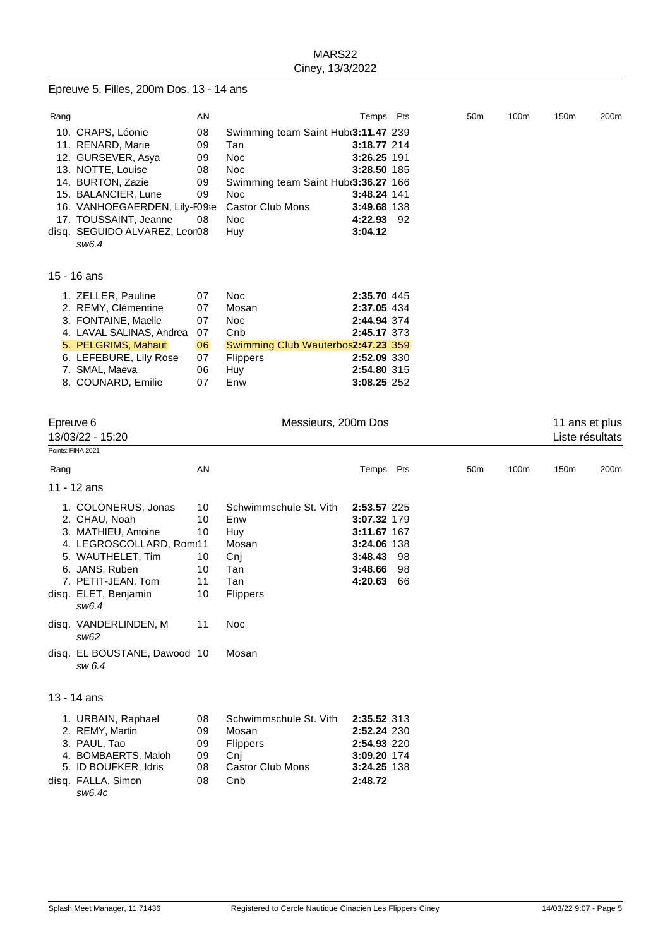#### Epreuve 5, Filles, 200m Dos, 13 - 14 ans

8. COUNARD, Emilie 07 Enw

| Rang |                                           | AN |                                                 | Temps       | Pts | 50 <sub>m</sub> | 100m | 150m | 200m |
|------|-------------------------------------------|----|-------------------------------------------------|-------------|-----|-----------------|------|------|------|
|      | 10. CRAPS, Léonie                         | 08 | Swimming team Saint Hub <sub>(3:11.47</sub> 239 |             |     |                 |      |      |      |
|      | 11. RENARD, Marie                         | 09 | Tan                                             | 3:18.77 214 |     |                 |      |      |      |
|      | 12. GURSEVER, Asya                        | 09 | <b>Noc</b>                                      | 3:26.25 191 |     |                 |      |      |      |
|      | 13. NOTTE, Louise                         | 08 | Noc                                             | 3:28.50 185 |     |                 |      |      |      |
|      | 14. BURTON, Zazie                         | 09 | Swimming team Saint Hub <sub>3</sub> :36.27 166 |             |     |                 |      |      |      |
|      | 15. BALANCIER, Lune                       | 09 | <b>Noc</b>                                      | 3:48.24 141 |     |                 |      |      |      |
|      | 16. VANHOEGAERDEN, Lily-F09se             |    | <b>Castor Club Mons</b>                         | 3:49.68 138 |     |                 |      |      |      |
|      | 17. TOUSSAINT, Jeanne                     | 08 | <b>Noc</b>                                      | 4:22.93     | -92 |                 |      |      |      |
|      | disq.  SEGUIDO ALVAREZ, Leor08            |    | Huy                                             | 3:04.12     |     |                 |      |      |      |
|      | sw6.4                                     |    |                                                 |             |     |                 |      |      |      |
|      | 15 - 16 ans                               |    |                                                 |             |     |                 |      |      |      |
|      |                                           | 07 | <b>Noc</b>                                      | 2:35.70 445 |     |                 |      |      |      |
|      | 1. ZELLER, Pauline<br>2. REMY, Clémentine | 07 | Mosan                                           | 2:37.05 434 |     |                 |      |      |      |
|      | 3. FONTAINE, Maelle                       |    |                                                 |             |     |                 |      |      |      |
|      |                                           | 07 | Noc.                                            | 2:44.94 374 |     |                 |      |      |      |
|      | 4. LAVAL SALINAS, Andrea                  | 07 | Cnb                                             | 2:45.17 373 |     |                 |      |      |      |
|      | 5. PELGRIMS, Mahaut                       | 06 | Swimming Club Wauterbos2:47.23 359              |             |     |                 |      |      |      |
|      | 6. LEFEBURE, Lily Rose                    | 07 | <b>Flippers</b>                                 | 2:52.09 330 |     |                 |      |      |      |
|      | 7. SMAL, Maeva                            | 06 | Huy                                             | 2:54.80 315 |     |                 |      |      |      |

7. SMAL, Maeva **06 Huy 12:54.80** 315<br>
8. COUNARD, Emilie 07 Enw 3:08.25 252

| Epreuve 6<br>13/03/22 - 15:20<br>Points: FINA 2021 |                                                                                                                                                                                                                                                                  | Messieurs, 200m Dos                          | 11 ans et plus<br>Liste résultats                                                                            |                                                                                                             |                 |      |                  |      |
|----------------------------------------------------|------------------------------------------------------------------------------------------------------------------------------------------------------------------------------------------------------------------------------------------------------------------|----------------------------------------------|--------------------------------------------------------------------------------------------------------------|-------------------------------------------------------------------------------------------------------------|-----------------|------|------------------|------|
| Rang                                               |                                                                                                                                                                                                                                                                  | AN                                           |                                                                                                              | Temps Pts                                                                                                   | 50 <sub>m</sub> | 100m | 150 <sub>m</sub> | 200m |
|                                                    | 11 - 12 ans                                                                                                                                                                                                                                                      |                                              |                                                                                                              |                                                                                                             |                 |      |                  |      |
|                                                    | 1. COLONERUS, Jonas<br>2. CHAU, Noah<br>3. MATHIEU, Antoine<br>4. LEGROSCOLLARD, Rom:11<br>5. WAUTHELET, Tim<br>6. JANS, Ruben<br>7. PETIT-JEAN, Tom<br>disq. ELET, Benjamin<br>sw6.4<br>disq. VANDERLINDEN, M<br>sw62<br>disq. EL BOUSTANE, Dawood 10<br>sw 6.4 | 10<br>10<br>10<br>10<br>10<br>11<br>10<br>11 | Schwimmschule St. Vith<br>Enw<br>Huy<br>Mosan<br>Cnj<br>Tan<br>Tan<br><b>Flippers</b><br><b>Noc</b><br>Mosan | 2:53.57 225<br>3:07.32 179<br>3:11.67 167<br>3:24.06 138<br>3:48.43<br>98<br>98<br>3:48.66<br>4:20.63<br>66 |                 |      |                  |      |
|                                                    | 13 - 14 ans                                                                                                                                                                                                                                                      |                                              |                                                                                                              |                                                                                                             |                 |      |                  |      |
|                                                    | 1. URBAIN, Raphael<br>2. REMY, Martin<br>3. PAUL, Tao<br>4. BOMBAERTS, Maloh<br>5. ID BOUFKER, Idris<br>disq. FALLA, Simon<br>sw6.4c                                                                                                                             | 08<br>09<br>09<br>09<br>08<br>08             | Schwimmschule St. Vith<br>Mosan<br>Flippers<br>Cnj<br><b>Castor Club Mons</b><br>Cnb                         | 2:35.52 313<br>2:52.24 230<br>2:54.93 220<br>3:09.20 174<br>3:24.25 138<br>2:48.72                          |                 |      |                  |      |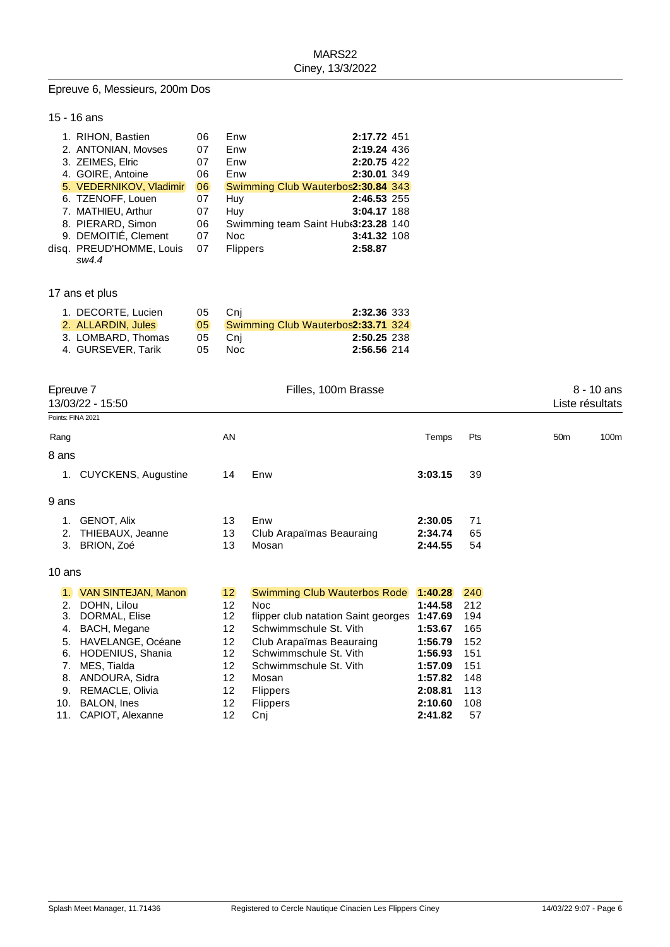#### Epreuve 6, Messieurs, 200m Dos

## 15 - 16 ans

| 1. RIHON, Bastien        | 06 | Enw                                 | 2:17.72 451 |  |
|--------------------------|----|-------------------------------------|-------------|--|
| 2. ANTONIAN, Movses      | 07 | Enw                                 | 2:19.24 436 |  |
| 3. ZEIMES, Elric         | 07 | Enw                                 | 2:20.75 422 |  |
| 4. GOIRE, Antoine        | 06 | Enw                                 | 2:30.01 349 |  |
| 5. VEDERNIKOV, Vladimir  | 06 | Swimming Club Wauterbos2:30.84 343  |             |  |
| 6. TZENOFF, Louen        | 07 | Huy                                 | 2:46.53 255 |  |
| 7. MATHIEU, Arthur       | 07 | Huy                                 | 3:04.17 188 |  |
| 8. PIERARD, Simon        | 06 | Swimming team Saint Hub 3:23.28 140 |             |  |
| 9. DEMOITIE, Clement     | 07 | Noc                                 | 3:41.32 108 |  |
| disq. PREUD'HOMME, Louis | 07 | <b>Flippers</b>                     | 2:58.87     |  |
| sw4.4                    |    |                                     |             |  |

# 17 ans et plus

| 1. DECORTE, Lucien | 05.             | Cni  | 2:32.36 333                        |  |
|--------------------|-----------------|------|------------------------------------|--|
| 2. ALLARDIN, Jules | 05 <sub>1</sub> |      | Swimming Club Wauterbos2:33.71 324 |  |
| 3. LOMBARD, Thomas | 05              | -Cni | 2:50.25 238                        |  |
| 4. GURSEVER, Tarik | 05              | Noc. | 2:56.56 214                        |  |

| Epreuve 7<br>13/03/22 - 15:50 |                            |                   | Filles, 100m Brasse                 |         | 8 - 10 ans<br>Liste résultats |                 |      |
|-------------------------------|----------------------------|-------------------|-------------------------------------|---------|-------------------------------|-----------------|------|
| Points: FINA 2021             |                            |                   |                                     |         |                               |                 |      |
| Rang                          |                            | AN                |                                     | Temps   | Pts                           | 50 <sub>m</sub> | 100m |
| 8 ans                         |                            |                   |                                     |         |                               |                 |      |
|                               | 1. CUYCKENS, Augustine     | 14                | Enw                                 | 3:03.15 | 39                            |                 |      |
| 9 ans                         |                            |                   |                                     |         |                               |                 |      |
| 1.                            | GENOT, Alix                | 13                | Enw                                 | 2:30.05 | 71                            |                 |      |
| 2.                            | THIEBAUX, Jeanne           | 13                | Club Arapaïmas Beauraing            | 2:34.74 | 65                            |                 |      |
| 3.                            | BRION, Zoé                 | 13                | Mosan                               | 2:44.55 | 54                            |                 |      |
| 10 ans                        |                            |                   |                                     |         |                               |                 |      |
| $\mathbf{1}$                  | <b>VAN SINTEJAN, Manon</b> | 12                | <b>Swimming Club Wauterbos Rode</b> | 1:40.28 | 240                           |                 |      |
| 2.                            | DOHN, Lilou                | 12                | <b>Noc</b>                          | 1:44.58 | 212                           |                 |      |
| 3.                            | DORMAL, Elise              | $12 \overline{ }$ | flipper club natation Saint georges | 1:47.69 | 194                           |                 |      |
| 4.                            | BACH, Megane               | 12                | Schwimmschule St. Vith              | 1:53.67 | 165                           |                 |      |
| 5.                            | HAVELANGE, Océane          | $12 \overline{ }$ | Club Arapaïmas Beauraing            | 1:56.79 | 152                           |                 |      |
| 6.                            | HODENIUS, Shania           | 12                | Schwimmschule St. Vith              | 1:56.93 | 151                           |                 |      |
| 7.                            | MES, Tialda                | 12                | Schwimmschule St. Vith              | 1:57.09 | 151                           |                 |      |
| 8.                            | ANDOURA, Sidra             | 12                | Mosan                               | 1:57.82 | 148                           |                 |      |
| 9.                            | REMACLE, Olivia            | 12                | <b>Flippers</b>                     | 2:08.81 | 113                           |                 |      |
| 10.                           | BALON, Ines                | $12 \overline{ }$ | <b>Flippers</b>                     | 2:10.60 | 108                           |                 |      |
| 11.                           | CAPIOT, Alexanne           | 12                | Cnj                                 | 2:41.82 | 57                            |                 |      |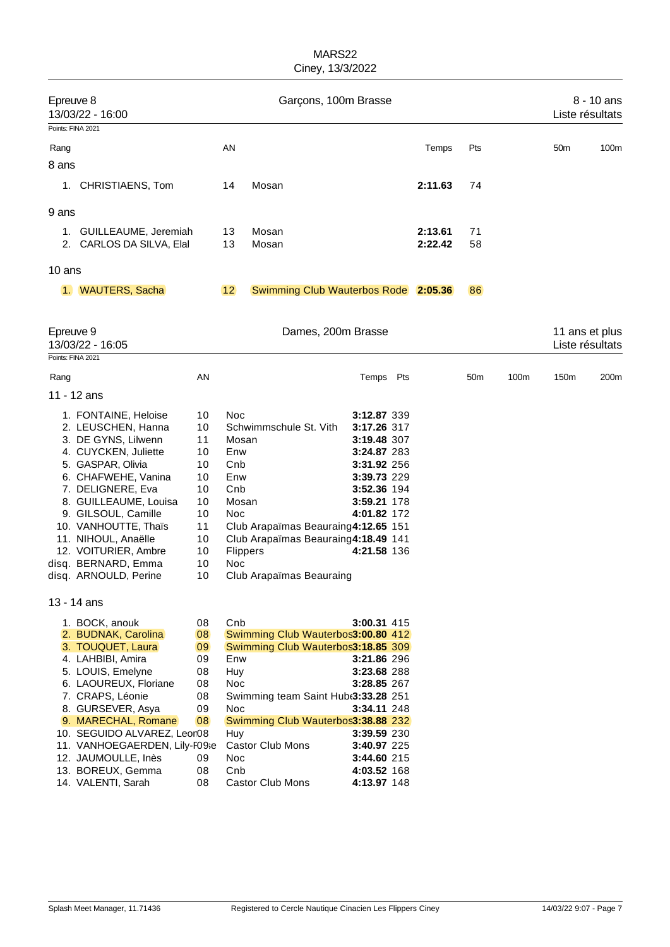| Epreuve 8<br>13/03/22 - 16:00 |                                            |          | Garçons, 100m Brasse |                                                                          |                            |  |         |                 |      | 8 - 10 ans<br>Liste résultats |      |  |
|-------------------------------|--------------------------------------------|----------|----------------------|--------------------------------------------------------------------------|----------------------------|--|---------|-----------------|------|-------------------------------|------|--|
|                               | Points: FINA 2021                          |          |                      |                                                                          |                            |  |         |                 |      |                               |      |  |
| Rang                          |                                            |          | ΑN                   |                                                                          |                            |  | Temps   | Pts             |      | 50 <sub>m</sub>               | 100m |  |
| 8 ans                         |                                            |          |                      |                                                                          |                            |  |         |                 |      |                               |      |  |
|                               |                                            |          |                      |                                                                          |                            |  |         |                 |      |                               |      |  |
|                               | 1. CHRISTIAENS, Tom                        |          | 14                   | Mosan                                                                    |                            |  | 2:11.63 | 74              |      |                               |      |  |
| 9 ans                         |                                            |          |                      |                                                                          |                            |  |         |                 |      |                               |      |  |
|                               |                                            |          |                      |                                                                          |                            |  |         |                 |      |                               |      |  |
|                               | 1. GUILLEAUME, Jeremiah                    |          | 13                   | Mosan                                                                    |                            |  | 2:13.61 | 71              |      |                               |      |  |
|                               | 2. CARLOS DA SILVA, Elal                   |          | 13                   | Mosan                                                                    |                            |  | 2:22.42 | 58              |      |                               |      |  |
| 10 ans                        |                                            |          |                      |                                                                          |                            |  |         |                 |      |                               |      |  |
|                               |                                            |          |                      |                                                                          |                            |  |         |                 |      |                               |      |  |
|                               | 1. WAUTERS, Sacha                          |          | 12                   | Swimming Club Wauterbos Rode 2:05.36                                     |                            |  |         | 86              |      |                               |      |  |
|                               |                                            |          |                      |                                                                          |                            |  |         |                 |      |                               |      |  |
| Epreuve 9                     |                                            |          |                      | Dames, 200m Brasse                                                       |                            |  |         |                 |      | 11 ans et plus                |      |  |
|                               | 13/03/22 - 16:05                           |          |                      |                                                                          |                            |  |         |                 |      | Liste résultats               |      |  |
|                               | Points: FINA 2021                          |          |                      |                                                                          |                            |  |         |                 |      |                               |      |  |
| Rang                          |                                            | AN       |                      |                                                                          | Temps Pts                  |  |         | 50 <sub>m</sub> | 100m | 150m                          | 200m |  |
|                               | 11 - 12 ans                                |          |                      |                                                                          |                            |  |         |                 |      |                               |      |  |
|                               |                                            |          |                      |                                                                          |                            |  |         |                 |      |                               |      |  |
|                               | 1. FONTAINE, Heloise<br>2. LEUSCHEN, Hanna | 10<br>10 | <b>Noc</b>           | Schwimmschule St. Vith                                                   | 3:12.87 339<br>3:17.26 317 |  |         |                 |      |                               |      |  |
|                               | 3. DE GYNS, Lilwenn                        | 11       | Mosan                |                                                                          | 3:19.48 307                |  |         |                 |      |                               |      |  |
|                               | 4. CUYCKEN, Juliette                       | 10       | Enw                  |                                                                          | 3:24.87 283                |  |         |                 |      |                               |      |  |
|                               | 5. GASPAR, Olivia                          | 10       | Cnb                  |                                                                          | 3:31.92 256                |  |         |                 |      |                               |      |  |
|                               | 6. CHAFWEHE, Vanina                        | 10       | Enw                  |                                                                          | 3:39.73 229                |  |         |                 |      |                               |      |  |
|                               | 7. DELIGNERE, Eva                          | 10       | Cnb                  |                                                                          | 3:52.36 194                |  |         |                 |      |                               |      |  |
|                               | 8. GUILLEAUME, Louisa                      | 10       | Mosan                |                                                                          | 3:59.21 178                |  |         |                 |      |                               |      |  |
|                               | 9. GILSOUL, Camille                        | 10       | Noc                  |                                                                          | 4:01.82 172                |  |         |                 |      |                               |      |  |
|                               | 10. VANHOUTTE, Thaïs                       | 11       |                      | Club Arapaïmas Beauraing4:12.65 151                                      |                            |  |         |                 |      |                               |      |  |
|                               | 11. NIHOUL, Anaëlle                        | 10       |                      | Club Arapaïmas Beauraing4:18.49 141                                      |                            |  |         |                 |      |                               |      |  |
|                               | 12. VOITURIER, Ambre                       | 10       | Flippers             |                                                                          | 4:21.58 136                |  |         |                 |      |                               |      |  |
|                               | disq. BERNARD, Emma                        | 10       | <b>Noc</b>           |                                                                          |                            |  |         |                 |      |                               |      |  |
|                               | disq. ARNOULD, Perine                      | 10       |                      | Club Arapaïmas Beauraing                                                 |                            |  |         |                 |      |                               |      |  |
|                               | 13 - 14 ans                                |          |                      |                                                                          |                            |  |         |                 |      |                               |      |  |
|                               |                                            |          |                      |                                                                          |                            |  |         |                 |      |                               |      |  |
|                               | 1. BOCK, anouk                             | 08       | Cnb                  |                                                                          | 3:00.31 415                |  |         |                 |      |                               |      |  |
|                               | 2. BUDNAK, Carolina                        | 08       |                      | Swimming Club Wauterbos3:00.80 412<br>Swimming Club Wauterbos3:18.85 309 |                            |  |         |                 |      |                               |      |  |
|                               | 3. TOUQUET, Laura<br>4. LAHBIBI, Amira     | 09<br>09 | Enw                  |                                                                          | 3:21.86 296                |  |         |                 |      |                               |      |  |
|                               | 5. LOUIS, Emelyne                          | 08       | Huy                  |                                                                          | 3:23.68 288                |  |         |                 |      |                               |      |  |
|                               | 6. LAOUREUX, Floriane                      | 08       | Noc                  |                                                                          | 3:28.85 267                |  |         |                 |      |                               |      |  |
|                               | 7. CRAPS, Léonie                           | 08       |                      | Swimming team Saint Hub 3:33.28 251                                      |                            |  |         |                 |      |                               |      |  |
|                               | 8. GURSEVER, Asya                          | 09       | Noc                  |                                                                          | 3:34.11 248                |  |         |                 |      |                               |      |  |
|                               | 9. MARECHAL, Romane                        | 08       |                      | Swimming Club Wauterbos3:38.88 232                                       |                            |  |         |                 |      |                               |      |  |
|                               | 10. SEGUIDO ALVAREZ, Leor08                |          | Huy                  |                                                                          | 3:39.59 230                |  |         |                 |      |                               |      |  |
|                               | 11. VANHOEGAERDEN, Lily-F09se              |          |                      | <b>Castor Club Mons</b>                                                  | 3:40.97 225                |  |         |                 |      |                               |      |  |
|                               | 12. JAUMOULLE, Inès                        | 09       | Noc                  |                                                                          | 3:44.60 215                |  |         |                 |      |                               |      |  |
|                               | 13. BOREUX, Gemma                          | 08       | Cnb                  |                                                                          | 4:03.52 168                |  |         |                 |      |                               |      |  |
|                               | 14. VALENTI, Sarah                         | 08       |                      | <b>Castor Club Mons</b>                                                  | 4:13.97 148                |  |         |                 |      |                               |      |  |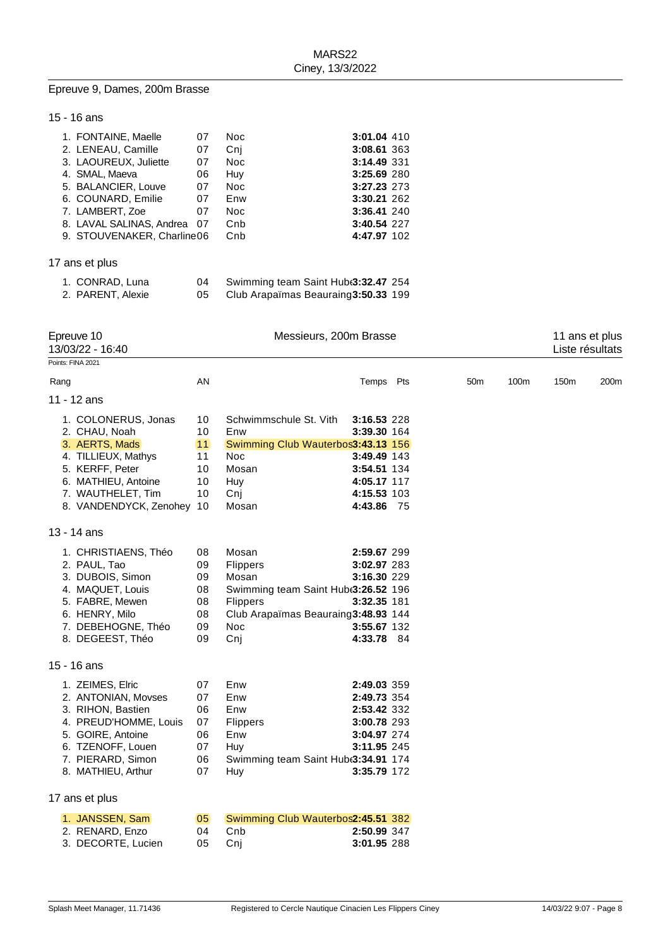# Epreuve 9, Dames, 200m Brasse

# 15 - 16 ans

| 1. FONTAINE, Maelle         | 07 | Noc.       | 3:01.04 410 |  |
|-----------------------------|----|------------|-------------|--|
| 2. LENEAU, Camille          | 07 | Cni        | 3:08.61 363 |  |
| 3. LAOUREUX. Juliette       | 07 | Noc.       | 3:14.49 331 |  |
| 4. SMAL, Maeva              | 06 | Huy        | 3:25.69 280 |  |
| 5. BALANCIER, Louve         | 07 | <b>Noc</b> | 3:27.23 273 |  |
| 6. COUNARD, Emilie          | 07 | Enw        | 3:30.21 262 |  |
| 7. LAMBERT, Zoe             | 07 | Noc.       | 3:36.41 240 |  |
| 8. LAVAL SALINAS, Andrea 07 |    | Cnb        | 3:40.54 227 |  |
| 9. STOUVENAKER, Charline06  |    | Cnb        | 4:47.97 102 |  |
|                             |    |            |             |  |

# 17 ans et plus

| 1. CONRAD, Luna   | Swimming team Saint Hub 3:32.47 254 |  |
|-------------------|-------------------------------------|--|
| 2. PARENT, Alexie | Club Arapaïmas Beauraing3:50.33 199 |  |

| Epreuve 10<br>13/03/22 - 16:40 | Messieurs, 200m Brasse |                                                 |             |  |                 |      |      | 11 ans et plus<br>Liste résultats |  |  |
|--------------------------------|------------------------|-------------------------------------------------|-------------|--|-----------------|------|------|-----------------------------------|--|--|
| Points: FINA 2021              |                        |                                                 |             |  |                 |      |      |                                   |  |  |
| Rang                           | AN                     |                                                 | Temps Pts   |  | 50 <sub>m</sub> | 100m | 150m | 200m                              |  |  |
| 11 - 12 ans                    |                        |                                                 |             |  |                 |      |      |                                   |  |  |
| 1. COLONERUS, Jonas            | 10                     | Schwimmschule St. Vith                          | 3:16.53 228 |  |                 |      |      |                                   |  |  |
| 2. CHAU, Noah                  | 10                     | Enw                                             | 3:39.30 164 |  |                 |      |      |                                   |  |  |
| 3. AERTS, Mads                 | 11                     | Swimming Club Wauterbos3:43.13 156              |             |  |                 |      |      |                                   |  |  |
| 4. TILLIEUX, Mathys            | 11                     | <b>Noc</b>                                      | 3:49.49 143 |  |                 |      |      |                                   |  |  |
| 5. KERFF, Peter                | 10                     | Mosan                                           | 3:54.51 134 |  |                 |      |      |                                   |  |  |
| 6. MATHIEU, Antoine            | 10                     | Huy                                             | 4:05.17 117 |  |                 |      |      |                                   |  |  |
| 7. WAUTHELET, Tim              | 10                     | Cnj                                             | 4:15.53 103 |  |                 |      |      |                                   |  |  |
| 8. VANDENDYCK, Zenohey 10      |                        | Mosan                                           | 4:43.86 75  |  |                 |      |      |                                   |  |  |
| 13 - 14 ans                    |                        |                                                 |             |  |                 |      |      |                                   |  |  |
| 1. CHRISTIAENS, Théo           | 08                     | Mosan                                           | 2:59.67 299 |  |                 |      |      |                                   |  |  |
| 2. PAUL, Tao                   | 09                     | <b>Flippers</b>                                 | 3:02.97 283 |  |                 |      |      |                                   |  |  |
| 3. DUBOIS, Simon               | 09                     | Mosan                                           | 3:16.30 229 |  |                 |      |      |                                   |  |  |
| 4. MAQUET, Louis               | 08                     | Swimming team Saint Hub <sub>3</sub> :26.52 196 |             |  |                 |      |      |                                   |  |  |
| 5. FABRE, Mewen                | 08                     | <b>Flippers</b>                                 | 3:32.35 181 |  |                 |      |      |                                   |  |  |
| 6. HENRY, Milo                 | 08                     | Club Arapaïmas Beauraing3:48.93 144             |             |  |                 |      |      |                                   |  |  |
| 7. DEBEHOGNE, Théo             | 09                     | Noc                                             | 3:55.67 132 |  |                 |      |      |                                   |  |  |
| 8. DEGEEST, Théo               | 09                     | Cnj                                             | 4:33.78 84  |  |                 |      |      |                                   |  |  |
| 15 - 16 ans                    |                        |                                                 |             |  |                 |      |      |                                   |  |  |
| 1. ZEIMES, Elric               | 07                     | Enw                                             | 2:49.03 359 |  |                 |      |      |                                   |  |  |
| 2. ANTONIAN, Movses            | 07                     | Enw                                             | 2:49.73 354 |  |                 |      |      |                                   |  |  |
| 3. RIHON, Bastien              | 06                     | Enw                                             | 2:53.42 332 |  |                 |      |      |                                   |  |  |
| 4. PREUD'HOMME, Louis          | 07                     | <b>Flippers</b>                                 | 3:00.78 293 |  |                 |      |      |                                   |  |  |
| 5. GOIRE, Antoine              | 06                     | Enw                                             | 3:04.97 274 |  |                 |      |      |                                   |  |  |
| 6. TZENOFF, Louen              | 07                     | Huy                                             | 3:11.95 245 |  |                 |      |      |                                   |  |  |
| 7. PIERARD, Simon              | 06                     | Swimming team Saint Hub(3:34.91 174             |             |  |                 |      |      |                                   |  |  |
| 8. MATHIEU, Arthur             | 07                     | Huy                                             | 3:35.79 172 |  |                 |      |      |                                   |  |  |
| 17 ans et plus                 |                        |                                                 |             |  |                 |      |      |                                   |  |  |
| 1. JANSSEN, Sam                | 05                     | Swimming Club Wauterbos2:45.51 382              |             |  |                 |      |      |                                   |  |  |
| 2. RENARD, Enzo                | 04                     | Cnb                                             | 2:50.99 347 |  |                 |      |      |                                   |  |  |
| 3. DECORTE, Lucien             | 05                     | Cnj                                             | 3:01.95 288 |  |                 |      |      |                                   |  |  |
|                                |                        |                                                 |             |  |                 |      |      |                                   |  |  |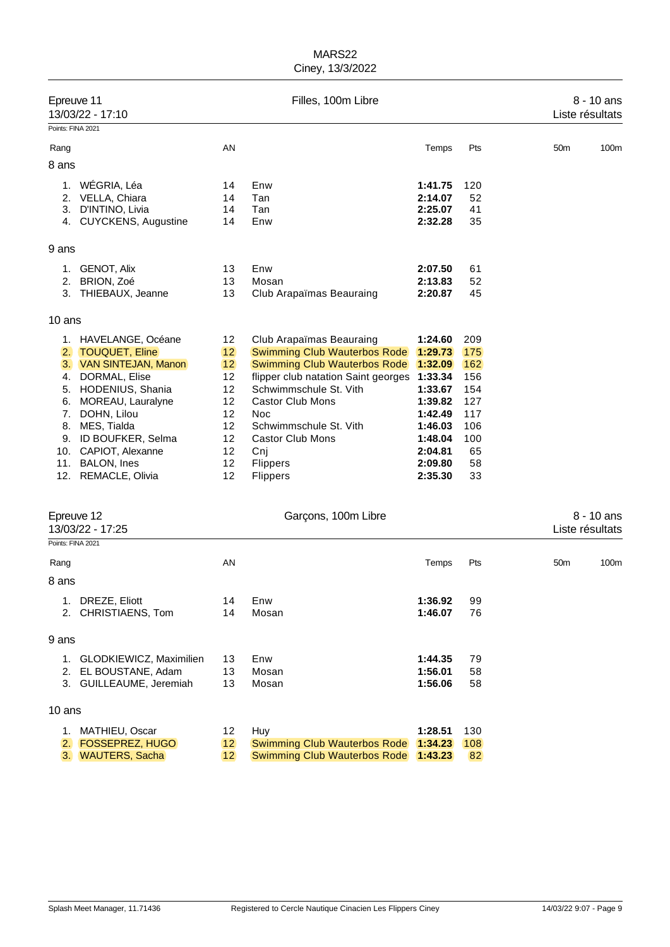| Epreuve 11<br>13/03/22 - 17:10 |                                                                                                                                                                                                                                                              |                                                                      | Filles, 100m Libre                                                                                                                                                                                                                                                                                    |                                                                                                                       |                                                                               |                 | 8 - 10 ans<br>Liste résultats |
|--------------------------------|--------------------------------------------------------------------------------------------------------------------------------------------------------------------------------------------------------------------------------------------------------------|----------------------------------------------------------------------|-------------------------------------------------------------------------------------------------------------------------------------------------------------------------------------------------------------------------------------------------------------------------------------------------------|-----------------------------------------------------------------------------------------------------------------------|-------------------------------------------------------------------------------|-----------------|-------------------------------|
| Points: FINA 2021              |                                                                                                                                                                                                                                                              |                                                                      |                                                                                                                                                                                                                                                                                                       |                                                                                                                       |                                                                               |                 |                               |
| Rang                           |                                                                                                                                                                                                                                                              | AN                                                                   |                                                                                                                                                                                                                                                                                                       | Temps                                                                                                                 | Pts                                                                           | 50 <sub>m</sub> | 100m                          |
| 8 ans                          |                                                                                                                                                                                                                                                              |                                                                      |                                                                                                                                                                                                                                                                                                       |                                                                                                                       |                                                                               |                 |                               |
| 1.<br>2.<br>3.                 | WÉGRIA, Léa<br>VELLA, Chiara<br>D'INTINO, Livia<br>4. CUYCKENS, Augustine                                                                                                                                                                                    | 14<br>14<br>14<br>14                                                 | Enw<br>Tan<br>Tan<br>Enw                                                                                                                                                                                                                                                                              | 1:41.75<br>2:14.07<br>2:25.07<br>2:32.28                                                                              | 120<br>52<br>41<br>35                                                         |                 |                               |
| 9 ans                          |                                                                                                                                                                                                                                                              |                                                                      |                                                                                                                                                                                                                                                                                                       |                                                                                                                       |                                                                               |                 |                               |
| 1.<br>2.                       | <b>GENOT, Alix</b><br>BRION, Zoé<br>3. THIEBAUX, Jeanne                                                                                                                                                                                                      | 13<br>13<br>13                                                       | Enw<br>Mosan<br>Club Arapaïmas Beauraing                                                                                                                                                                                                                                                              | 2:07.50<br>2:13.83<br>2:20.87                                                                                         | 61<br>52<br>45                                                                |                 |                               |
| 10 ans                         |                                                                                                                                                                                                                                                              |                                                                      |                                                                                                                                                                                                                                                                                                       |                                                                                                                       |                                                                               |                 |                               |
| 2.<br>4.<br>6.<br>8.<br>9.     | 1. HAVELANGE, Océane<br><b>TOUQUET, Eline</b><br>3. VAN SINTEJAN, Manon<br>DORMAL, Elise<br>5. HODENIUS, Shania<br>MOREAU, Lauralyne<br>7. DOHN, Lilou<br>MES, Tialda<br>ID BOUFKER, Selma<br>10. CAPIOT, Alexanne<br>11. BALON, Ines<br>12. REMACLE, Olivia | 12<br>12<br>12<br>12<br>12<br>12<br>12<br>12<br>12<br>12<br>12<br>12 | Club Arapaïmas Beauraing<br><b>Swimming Club Wauterbos Rode</b><br><b>Swimming Club Wauterbos Rode</b><br>flipper club natation Saint georges 1:33.34<br>Schwimmschule St. Vith<br><b>Castor Club Mons</b><br>Noc<br>Schwimmschule St. Vith<br><b>Castor Club Mons</b><br>Cnj<br>Flippers<br>Flippers | 1:24.60<br>1:29.73<br>1:32.09<br>1:33.67<br>1:39.82<br>1:42.49<br>1:46.03<br>1:48.04<br>2:04.81<br>2:09.80<br>2:35.30 | 209<br>175<br>162<br>156<br>154<br>127<br>117<br>106<br>100<br>65<br>58<br>33 |                 |                               |
|                                | Epreuve 12<br>13/03/22 - 17:25                                                                                                                                                                                                                               |                                                                      | Garçons, 100m Libre                                                                                                                                                                                                                                                                                   |                                                                                                                       |                                                                               |                 | 8 - 10 ans<br>Liste résultats |
| Points: FINA 2021              |                                                                                                                                                                                                                                                              |                                                                      |                                                                                                                                                                                                                                                                                                       |                                                                                                                       |                                                                               |                 |                               |
| Rang<br>8 ans                  |                                                                                                                                                                                                                                                              | AN                                                                   |                                                                                                                                                                                                                                                                                                       | Temps                                                                                                                 | Pts                                                                           | 50 <sub>m</sub> | 100m                          |
| 1.<br>2.                       | DREZE, Eliott<br>CHRISTIAENS, Tom                                                                                                                                                                                                                            | 14<br>14                                                             | Enw<br>Mosan                                                                                                                                                                                                                                                                                          | 1:36.92<br>1:46.07                                                                                                    | 99<br>76                                                                      |                 |                               |
| 9 ans                          |                                                                                                                                                                                                                                                              |                                                                      |                                                                                                                                                                                                                                                                                                       |                                                                                                                       |                                                                               |                 |                               |
|                                | 1. GLODKIEWICZ, Maximilien<br>2. EL BOUSTANE, Adam<br>3. GUILLEAUME, Jeremiah                                                                                                                                                                                | 13<br>13<br>13                                                       | Enw<br>Mosan<br>Mosan                                                                                                                                                                                                                                                                                 | 1:44.35<br>1:56.01<br>1:56.06                                                                                         | 79<br>58<br>58                                                                |                 |                               |
| 10 ans                         |                                                                                                                                                                                                                                                              |                                                                      |                                                                                                                                                                                                                                                                                                       |                                                                                                                       |                                                                               |                 |                               |
|                                | 1. MATHIEU, Oscar<br>2. FOSSEPREZ, HUGO<br>3. WAUTERS, Sacha                                                                                                                                                                                                 | 12<br>12<br>12                                                       | Huy<br><b>Swimming Club Wauterbos Rode</b><br><b>Swimming Club Wauterbos Rode</b>                                                                                                                                                                                                                     | 1:28.51<br>1:34.23<br>1:43.23                                                                                         | 130<br>108<br>82                                                              |                 |                               |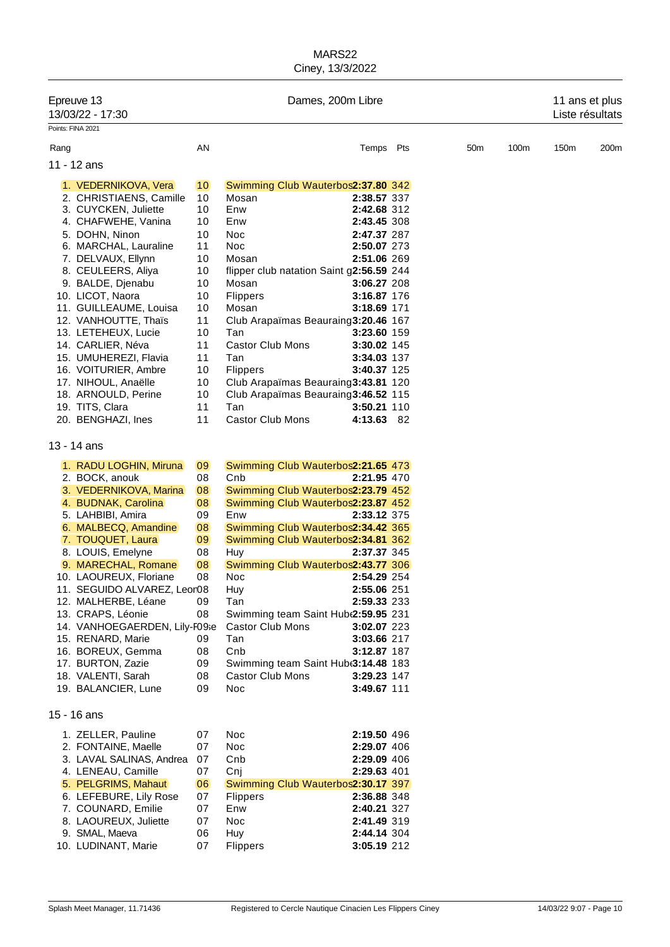|      | Epreuve 13<br>13/03/22 - 17:30                  |          |                                            | Dames, 200m Libre          |                 |      | 11 ans et plus<br>Liste résultats |      |
|------|-------------------------------------------------|----------|--------------------------------------------|----------------------------|-----------------|------|-----------------------------------|------|
|      | Points: FINA 2021                               |          |                                            |                            |                 |      |                                   |      |
| Rang |                                                 | AN       |                                            | Temps Pts                  | 50 <sub>m</sub> | 100m | 150m                              | 200m |
|      | 11 - 12 ans                                     |          |                                            |                            |                 |      |                                   |      |
|      |                                                 |          |                                            |                            |                 |      |                                   |      |
|      | 1. VEDERNIKOVA, Vera                            | 10       | Swimming Club Wauterbos2:37.80 342         |                            |                 |      |                                   |      |
|      | 2. CHRISTIAENS, Camille<br>3. CUYCKEN, Juliette | 10<br>10 | Mosan<br>Enw                               | 2:38.57 337<br>2:42.68 312 |                 |      |                                   |      |
|      | 4. CHAFWEHE, Vanina                             | 10       | Enw                                        | 2:43.45 308                |                 |      |                                   |      |
|      | 5. DOHN, Ninon                                  | 10       | Noc                                        | 2:47.37 287                |                 |      |                                   |      |
|      | 6. MARCHAL, Lauraline                           | 11       | <b>Noc</b>                                 | 2:50.07 273                |                 |      |                                   |      |
|      | 7. DELVAUX, Ellynn                              | 10       | Mosan                                      | 2:51.06 269                |                 |      |                                   |      |
|      | 8. CEULEERS, Aliya                              | 10       | flipper club natation Saint g2:56.59 244   |                            |                 |      |                                   |      |
|      | 9. BALDE, Djenabu                               | 10       | Mosan                                      | <b>3:06.27 208</b>         |                 |      |                                   |      |
|      | 10. LICOT, Naora                                | 10       | <b>Flippers</b>                            | 3:16.87 176                |                 |      |                                   |      |
|      | 11. GUILLEAUME, Louisa                          | 10       | Mosan                                      | 3:18.69 171                |                 |      |                                   |      |
|      | 12. VANHOUTTE, Thaïs                            | 11       | Club Arapaïmas Beauraing 3:20.46 167       |                            |                 |      |                                   |      |
|      | 13. LETEHEUX, Lucie                             | 10       | Tan                                        | 3:23.60 159                |                 |      |                                   |      |
|      | 14. CARLIER, Néva                               | 11       | Castor Club Mons                           | 3:30.02 145                |                 |      |                                   |      |
|      | 15. UMUHEREZI, Flavia                           | 11       | Tan                                        | 3:34.03 137                |                 |      |                                   |      |
|      | 16. VOITURIER, Ambre                            | 10       | <b>Flippers</b>                            | 3:40.37 125                |                 |      |                                   |      |
|      | 17. NIHOUL, Anaëlle                             | 10       | Club Arapaïmas Beauraing3:43.81 120        |                            |                 |      |                                   |      |
|      | 18. ARNOULD, Perine                             | 10       | Club Arapaïmas Beauraing3:46.52 115        |                            |                 |      |                                   |      |
|      | 19. TITS, Clara                                 | 11       | Tan                                        | <b>3:50.21 110</b>         |                 |      |                                   |      |
|      | 20. BENGHAZI, Ines                              | 11       | Castor Club Mons                           | 4:13.63 82                 |                 |      |                                   |      |
|      | 13 - 14 ans                                     |          |                                            |                            |                 |      |                                   |      |
|      | 1. RADU LOGHIN, Miruna                          | 09       | Swimming Club Wauterbos2:21.65 473         |                            |                 |      |                                   |      |
|      | 2. BOCK, anouk                                  | 08       | Cnb                                        | 2:21.95 470                |                 |      |                                   |      |
|      | 3. VEDERNIKOVA, Marina                          | 08       | Swimming Club Wauterbos2:23.79 452         |                            |                 |      |                                   |      |
|      | 4. BUDNAK, Carolina                             | 08       | Swimming Club Wauterbos2:23.87 452         |                            |                 |      |                                   |      |
|      | 5. LAHBIBI, Amira                               | 09       | Enw                                        | 2:33.12 375                |                 |      |                                   |      |
|      | 6. MALBECQ, Amandine                            | 08       | Swimming Club Wauterbos2:34.42 365         |                            |                 |      |                                   |      |
|      | 7. TOUQUET, Laura                               | 09       | Swimming Club Wauterbos2:34.81 362         |                            |                 |      |                                   |      |
|      | 8. LOUIS, Emelyne                               | 08       | Huy                                        | 2:37.37 345                |                 |      |                                   |      |
|      | 9. MARECHAL, Romane                             | 08       | Swimming Club Wauterbos2:43.77 306         |                            |                 |      |                                   |      |
|      | 10. LAOUREUX, Floriane                          | 08       | <b>Noc</b>                                 | 2:54.29 254                |                 |      |                                   |      |
|      | 11. SEGUIDO ALVAREZ, Leor08                     |          | Huy                                        | 2:55.06 251                |                 |      |                                   |      |
|      | 12. MALHERBE, Léane                             | 09       | Tan                                        | 2:59.33 233                |                 |      |                                   |      |
|      | 13. CRAPS, Léonie                               | 08       | Swimming team Saint Hub(2:59.95 231        |                            |                 |      |                                   |      |
|      | 14. VANHOEGAERDEN, Lily-F09se                   |          | Castor Club Mons                           | 3:02.07 223                |                 |      |                                   |      |
|      | 15. RENARD, Marie                               | 09       | Tan                                        | 3:03.66 217                |                 |      |                                   |      |
|      | 16. BOREUX, Gemma<br>17. BURTON, Zazie          | 08       | Cnb<br>Swimming team Saint Hub(3:14.48 183 | 3:12.87 187                |                 |      |                                   |      |
|      | 18. VALENTI, Sarah                              | 09       | <b>Castor Club Mons</b>                    |                            |                 |      |                                   |      |
|      | 19. BALANCIER, Lune                             | 08<br>09 | <b>Noc</b>                                 | 3:29.23 147<br>3:49.67 111 |                 |      |                                   |      |
|      |                                                 |          |                                            |                            |                 |      |                                   |      |
|      | 15 - 16 ans                                     |          |                                            |                            |                 |      |                                   |      |
|      | 1. ZELLER, Pauline                              | 07       | Noc                                        | 2:19.50 496                |                 |      |                                   |      |
|      | 2. FONTAINE, Maelle                             | 07       | Noc                                        | 2:29.07 406                |                 |      |                                   |      |
|      | 3. LAVAL SALINAS, Andrea                        | 07       | Cnb                                        | 2:29.09 406                |                 |      |                                   |      |
|      | 4. LENEAU, Camille                              | 07       | Cnj                                        | 2:29.63 401                |                 |      |                                   |      |
|      | 5. PELGRIMS, Mahaut                             | 06       | Swimming Club Wauterbos2:30.17 397         |                            |                 |      |                                   |      |
|      | 6. LEFEBURE, Lily Rose                          | 07       | <b>Flippers</b>                            | 2:36.88 348                |                 |      |                                   |      |
|      | 7. COUNARD, Emilie                              | 07       | Enw                                        | 2:40.21 327                |                 |      |                                   |      |
|      | 8. LAOUREUX, Juliette                           | 07       | Noc                                        | 2:41.49 319                |                 |      |                                   |      |
|      | 9. SMAL, Maeva                                  | 06       | Huy                                        | 2:44.14 304                |                 |      |                                   |      |
|      | 10. LUDINANT, Marie                             | 07       | <b>Flippers</b>                            | 3:05.19 212                |                 |      |                                   |      |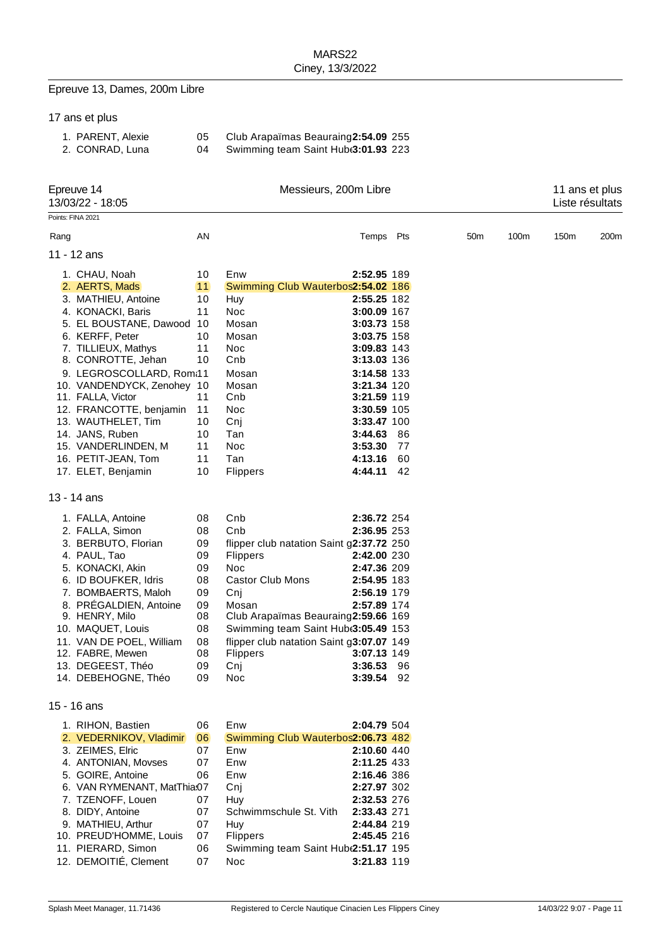# Epreuve 13, Dames, 200m Libre

| 17 ans et plus |  |
|----------------|--|
|----------------|--|

| 1. PARENT, Alexie | Club Arapaïmas Beauraing 2:54.09 255 |  |
|-------------------|--------------------------------------|--|
| 2. CONRAD, Luna   | Swimming team Saint Hub(3:01.93 223  |  |

| Epreuve 14<br>13/03/22 - 18:05 |                                                                                                                                                                                                                                                                                                             |                                                                                  | Messieurs, 200m Libre                                                                                                                                                                                                                                                                  |                                                                                                                                            |                        |                 |      | 11 ans et plus<br>Liste résultats |      |  |
|--------------------------------|-------------------------------------------------------------------------------------------------------------------------------------------------------------------------------------------------------------------------------------------------------------------------------------------------------------|----------------------------------------------------------------------------------|----------------------------------------------------------------------------------------------------------------------------------------------------------------------------------------------------------------------------------------------------------------------------------------|--------------------------------------------------------------------------------------------------------------------------------------------|------------------------|-----------------|------|-----------------------------------|------|--|
|                                | Points: FINA 2021                                                                                                                                                                                                                                                                                           |                                                                                  |                                                                                                                                                                                                                                                                                        |                                                                                                                                            |                        |                 |      |                                   |      |  |
| Rang                           |                                                                                                                                                                                                                                                                                                             | AN                                                                               |                                                                                                                                                                                                                                                                                        | Temps Pts                                                                                                                                  |                        | 50 <sub>m</sub> | 100m | 150m                              | 200m |  |
|                                | 11 - 12 ans                                                                                                                                                                                                                                                                                                 |                                                                                  |                                                                                                                                                                                                                                                                                        |                                                                                                                                            |                        |                 |      |                                   |      |  |
|                                | 1. CHAU, Noah<br>2. AERTS, Mads<br>3. MATHIEU, Antoine<br>4. KONACKI, Baris<br>5. EL BOUSTANE, Dawood 10<br>6. KERFF, Peter<br>7. TILLIEUX, Mathys<br>8. CONROTTE, Jehan<br>9. LEGROSCOLLARD, Rom:11                                                                                                        | 10<br>11<br>10<br>11<br>10<br>11<br>10                                           | Enw<br>Swimming Club Wauterbos2:54.02 186<br>Huy<br>Noc<br>Mosan<br>Mosan<br><b>Noc</b><br>Cnb<br>Mosan                                                                                                                                                                                | 2:52.95 189<br>2:55.25 182<br>3:00.09 167<br>3:03.73 158<br>3:03.75 158<br>3:09.83 143<br>3:13.03 136<br>3:14.58 133                       |                        |                 |      |                                   |      |  |
|                                | 10. VANDENDYCK, Zenohey 10<br>11. FALLA, Victor<br>12. FRANCOTTE, benjamin<br>13. WAUTHELET, Tim<br>14. JANS, Ruben<br>15. VANDERLINDEN, M<br>16. PETIT-JEAN, Tom<br>17. ELET, Benjamin                                                                                                                     | 11<br>11<br>10<br>10<br>11<br>11<br>10                                           | Mosan<br>Cnb<br>Noc<br>Cnj<br>Tan<br>Noc<br>Tan<br><b>Flippers</b>                                                                                                                                                                                                                     | 3:21.34 120<br>3:21.59 119<br>3:30.59 105<br>3:33.47 100<br>3:44.63<br>3:53.30<br>4:13.16<br>4:44.11                                       | - 86<br>77<br>60<br>42 |                 |      |                                   |      |  |
|                                | $13 - 14$ ans                                                                                                                                                                                                                                                                                               |                                                                                  |                                                                                                                                                                                                                                                                                        |                                                                                                                                            |                        |                 |      |                                   |      |  |
|                                | 1. FALLA, Antoine<br>2. FALLA, Simon<br>3. BERBUTO, Florian<br>4. PAUL, Tao<br>5. KONACKI, Akin<br>6. ID BOUFKER, Idris<br>7. BOMBAERTS, Maloh<br>8. PRÉGALDIEN, Antoine<br>9. HENRY, Milo<br>10. MAQUET, Louis<br>11. VAN DE POEL, William<br>12. FABRE, Mewen<br>13. DEGEEST, Théo<br>14. DEBEHOGNE, Théo | 08<br>08<br>09<br>09<br>09<br>08<br>09<br>09<br>08<br>08<br>08<br>08<br>09<br>09 | Cnb<br>Cnb<br>flipper club natation Saint g2:37.72 250<br><b>Flippers</b><br><b>Noc</b><br><b>Castor Club Mons</b><br>Cnj<br>Mosan<br>Club Arapaïmas Beauraing2:59.66 169<br>Swimming team Saint Hub(3:05.49 153<br>flipper club natation Saint g3:07.07 149<br>Flippers<br>Cnj<br>Noc | 2:36.72 254<br>2:36.95 253<br>2:42.00 230<br>2:47.36 209<br>2:54.95 183<br>2:56.19 179<br>2:57.89 174<br>3:07.13 149<br>3:36.53<br>3:39.54 | 96<br>92               |                 |      |                                   |      |  |
|                                | 15 - 16 ans                                                                                                                                                                                                                                                                                                 |                                                                                  |                                                                                                                                                                                                                                                                                        |                                                                                                                                            |                        |                 |      |                                   |      |  |
|                                | 1. RIHON, Bastien<br>2. VEDERNIKOV, Vladimir<br>3. ZEIMES, Elric<br>4. ANTONIAN, Movses<br>5. GOIRE, Antoine<br>6. VAN RYMENANT, MatThia:07<br>7. TZENOFF, Louen<br>8. DIDY, Antoine<br>9. MATHIEU, Arthur<br>10. PREUD'HOMME, Louis<br>11. PIERARD, Simon                                                  | 06<br>06<br>07<br>07<br>06<br>07<br>07<br>07<br>07<br>06                         | Enw<br>Swimming Club Wauterbos2:06.73 482<br>Enw<br>Enw<br>Enw<br>Cnj<br>Huy<br>Schwimmschule St. Vith<br>Huy<br>Flippers<br>Swimming team Saint Hub(2:51.17 195                                                                                                                       | 2:04.79 504<br>2:10.60 440<br>2:11.25 433<br>2:16.46 386<br>2:27.97 302<br>2:32.53 276<br>2:33.43 271<br>2:44.84 219<br>2:45.45 216        |                        |                 |      |                                   |      |  |
|                                | 12. DEMOITIÉ, Clement                                                                                                                                                                                                                                                                                       | 07                                                                               | <b>Noc</b>                                                                                                                                                                                                                                                                             | 3:21.83 119                                                                                                                                |                        |                 |      |                                   |      |  |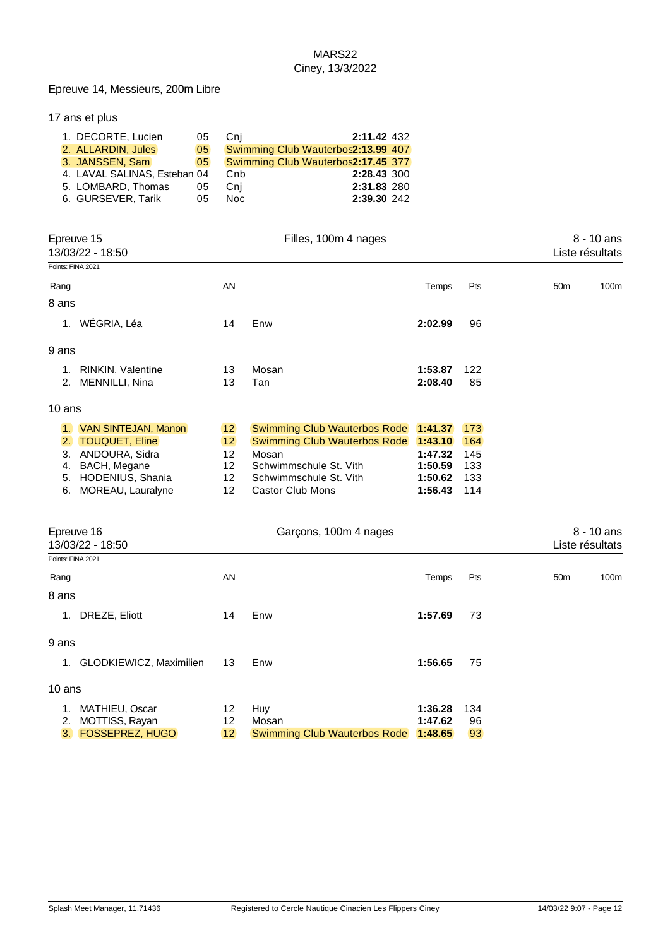#### Epreuve 14, Messieurs, 200m Libre

|  | 17 ans et plus               |    |      |                                    |  |
|--|------------------------------|----|------|------------------------------------|--|
|  | 1. DECORTE, Lucien           | 05 | Cni  | 2:11.42 432                        |  |
|  | 2. ALLARDIN, Jules           | 05 |      | Swimming Club Wauterbos2:13.99 407 |  |
|  | 3. JANSSEN, Sam              | 05 |      | Swimming Club Wauterbos2:17.45 377 |  |
|  | 4. LAVAL SALINAS, Esteban 04 |    | Cnb  | 2:28.43 300                        |  |
|  | 5. LOMBARD, Thomas           | 05 | Cni  | 2:31.83 280                        |  |
|  | 6. GURSEVER, Tarik           | 05 | Noc. | 2:39.30 242                        |  |

| Epreuve 15<br>13/03/22 - 18:50<br>Points: FINA 2021 |                       |    | Filles, 100m 4 nages         | $8 - 10$ ans<br>Liste résultats |     |                 |              |
|-----------------------------------------------------|-----------------------|----|------------------------------|---------------------------------|-----|-----------------|--------------|
| Rang                                                |                       | AN |                              | Temps                           | Pts | 50 <sub>m</sub> | 100m         |
| 8 ans                                               |                       |    |                              |                                 |     |                 |              |
| 1.                                                  | WÉGRIA, Léa           | 14 | Enw                          | 2:02.99                         | 96  |                 |              |
| 9 ans                                               |                       |    |                              |                                 |     |                 |              |
| 1.                                                  | RINKIN, Valentine     | 13 | Mosan                        | 1:53.87                         | 122 |                 |              |
| 2.                                                  | MENNILLI, Nina        | 13 | Tan                          | 2:08.40                         | 85  |                 |              |
| 10 ans                                              |                       |    |                              |                                 |     |                 |              |
| $\mathbf{1}$ .                                      | VAN SINTEJAN, Manon   | 12 | Swimming Club Wauterbos Rode | 1:41.37                         | 173 |                 |              |
| 2.                                                  | <b>TOUQUET, Eline</b> | 12 | Swimming Club Wauterbos Rode | 1:43.10                         | 164 |                 |              |
| 3.                                                  | ANDOURA, Sidra        | 12 | Mosan                        | 1:47.32                         | 145 |                 |              |
| 4.                                                  | BACH, Megane          | 12 | Schwimmschule St. Vith       | 1:50.59                         | 133 |                 |              |
| 5.                                                  | HODENIUS, Shania      | 12 | Schwimmschule St. Vith       | 1:50.62                         | 133 |                 |              |
| 6.                                                  | MOREAU, Lauralyne     | 12 | <b>Castor Club Mons</b>      | 1:56.43                         | 114 |                 |              |
|                                                     | Epreuve 16            |    | Garçons, 100m 4 nages        |                                 |     |                 | $8 - 10$ ans |
|                                                     | 13/03/22 - 18:50      |    |                              |                                 |     | Liste résultats |              |
| Points: FINA 2021                                   |                       |    |                              |                                 |     |                 |              |

|        | POINTS: FINA 2021          |    |       |         |     |                 |      |
|--------|----------------------------|----|-------|---------|-----|-----------------|------|
| Rang   |                            | AN |       | Temps   | Pts | 50 <sub>m</sub> | 100m |
| 8 ans  |                            |    |       |         |     |                 |      |
| 1.     | DREZE, Eliott              | 14 | Enw   | 1:57.69 | 73  |                 |      |
| 9 ans  |                            |    |       |         |     |                 |      |
|        |                            |    |       |         |     |                 |      |
|        | 1. GLODKIEWICZ, Maximilien | 13 | Enw   | 1:56.65 | 75  |                 |      |
| 10 ans |                            |    |       |         |     |                 |      |
| 1.     | MATHIEU, Oscar             | 12 | Huy   | 1:36.28 | 134 |                 |      |
|        |                            |    |       |         |     |                 |      |
|        | 2. MOTTISS, Rayan          | 12 | Mosan | 1:47.62 | 96  |                 |      |

3. FOSSEPREZ, HUGO 12 Swimming Club Wauterbos Rode **1:48.65** 93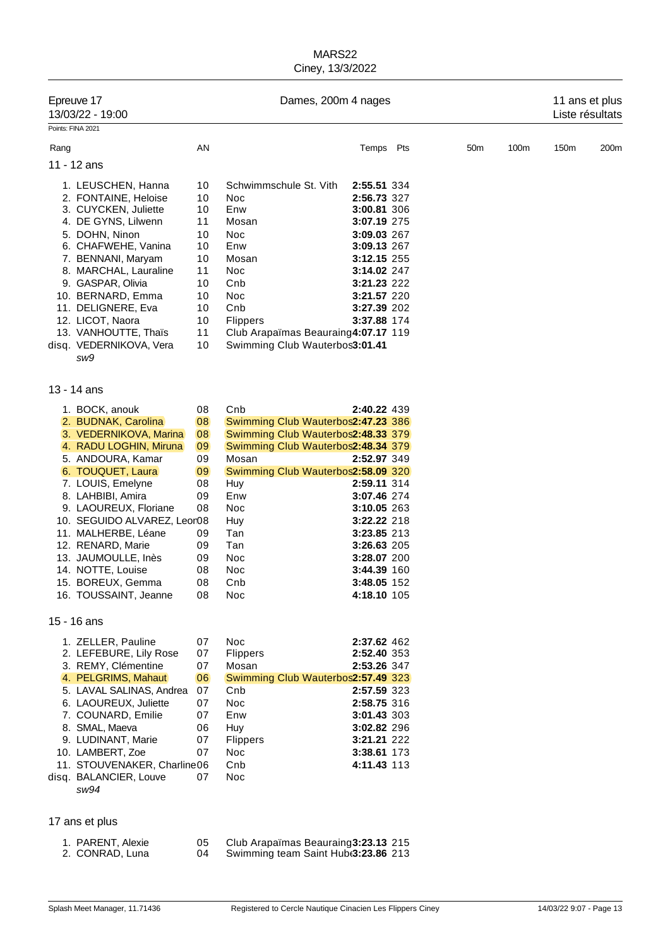| Epreuve 17<br>13/03/22 - 19:00<br>Points: FINA 2021 |                                                                                                                                                                                                                                                                                                                          |                                                                                  | Dames, 200m 4 nages                                                                                                                                                                          |                                                                                                                                                                                  |  |                 | 11 ans et plus<br>Liste résultats |      |                  |
|-----------------------------------------------------|--------------------------------------------------------------------------------------------------------------------------------------------------------------------------------------------------------------------------------------------------------------------------------------------------------------------------|----------------------------------------------------------------------------------|----------------------------------------------------------------------------------------------------------------------------------------------------------------------------------------------|----------------------------------------------------------------------------------------------------------------------------------------------------------------------------------|--|-----------------|-----------------------------------|------|------------------|
| Rang                                                |                                                                                                                                                                                                                                                                                                                          | AN                                                                               |                                                                                                                                                                                              | Temps Pts                                                                                                                                                                        |  | 50 <sub>m</sub> | 100m                              | 150m | 200 <sub>m</sub> |
|                                                     | 11 - 12 ans                                                                                                                                                                                                                                                                                                              |                                                                                  |                                                                                                                                                                                              |                                                                                                                                                                                  |  |                 |                                   |      |                  |
|                                                     | 1. LEUSCHEN, Hanna<br>2. FONTAINE, Heloise<br>3. CUYCKEN, Juliette<br>4. DE GYNS, Lilwenn<br>5. DOHN, Ninon<br>6. CHAFWEHE, Vanina<br>7. BENNANI, Maryam<br>8. MARCHAL, Lauraline<br>9. GASPAR, Olivia<br>10. BERNARD, Emma<br>11. DELIGNERE, Eva<br>12. LICOT, Naora<br>13. VANHOUTTE, Thaïs<br>disq. VEDERNIKOVA, Vera | 10<br>10<br>10<br>11<br>10<br>10<br>10<br>11<br>10<br>10<br>10<br>10<br>11<br>10 | Schwimmschule St. Vith<br>Noc<br>Enw<br>Mosan<br>Noc<br>Enw<br>Mosan<br>Noc<br>Cnb<br>Noc<br>Cnb<br><b>Flippers</b><br>Club Arapaïmas Beauraing4:07.17 119<br>Swimming Club Wauterbos3:01.41 | 2:55.51 334<br>2:56.73 327<br>3:00.81 306<br>3:07.19 275<br>3:09.03 267<br>3:09.13 267<br>3:12.15 255<br>3:14.02 247<br>3:21.23 222<br>3:21.57 220<br>3:27.39 202<br>3:37.88 174 |  |                 |                                   |      |                  |
|                                                     | sw9                                                                                                                                                                                                                                                                                                                      |                                                                                  |                                                                                                                                                                                              |                                                                                                                                                                                  |  |                 |                                   |      |                  |
|                                                     | 13 - 14 ans                                                                                                                                                                                                                                                                                                              |                                                                                  |                                                                                                                                                                                              |                                                                                                                                                                                  |  |                 |                                   |      |                  |
|                                                     |                                                                                                                                                                                                                                                                                                                          |                                                                                  |                                                                                                                                                                                              |                                                                                                                                                                                  |  |                 |                                   |      |                  |
|                                                     | 1. BOCK, anouk                                                                                                                                                                                                                                                                                                           | 08                                                                               | Cnb                                                                                                                                                                                          | 2:40.22 439                                                                                                                                                                      |  |                 |                                   |      |                  |
|                                                     | 2. BUDNAK, Carolina                                                                                                                                                                                                                                                                                                      | 08                                                                               | Swimming Club Wauterbos2:47.23 386                                                                                                                                                           |                                                                                                                                                                                  |  |                 |                                   |      |                  |
|                                                     | 3. VEDERNIKOVA, Marina                                                                                                                                                                                                                                                                                                   | 08                                                                               | Swimming Club Wauterbos2:48.33 379                                                                                                                                                           |                                                                                                                                                                                  |  |                 |                                   |      |                  |
|                                                     | 4. RADU LOGHIN, Miruna                                                                                                                                                                                                                                                                                                   | 09                                                                               | Swimming Club Wauterbos2:48.34 379                                                                                                                                                           |                                                                                                                                                                                  |  |                 |                                   |      |                  |
|                                                     | 5. ANDOURA, Kamar                                                                                                                                                                                                                                                                                                        | 09                                                                               | Mosan                                                                                                                                                                                        | 2:52.97 349                                                                                                                                                                      |  |                 |                                   |      |                  |
|                                                     | 6. TOUQUET, Laura                                                                                                                                                                                                                                                                                                        | 09                                                                               | Swimming Club Wauterbos2:58.09 320                                                                                                                                                           |                                                                                                                                                                                  |  |                 |                                   |      |                  |
|                                                     | 7. LOUIS, Emelyne                                                                                                                                                                                                                                                                                                        | 08                                                                               | Huy                                                                                                                                                                                          | 2:59.11 314                                                                                                                                                                      |  |                 |                                   |      |                  |
|                                                     | 8. LAHBIBI, Amira                                                                                                                                                                                                                                                                                                        | 09                                                                               | Enw                                                                                                                                                                                          | 3:07.46 274                                                                                                                                                                      |  |                 |                                   |      |                  |
|                                                     | 9. LAOUREUX, Floriane                                                                                                                                                                                                                                                                                                    | 08                                                                               | Noc                                                                                                                                                                                          | 3:10.05 263                                                                                                                                                                      |  |                 |                                   |      |                  |
|                                                     | 10. SEGUIDO ALVAREZ, Leor08                                                                                                                                                                                                                                                                                              |                                                                                  | Huy                                                                                                                                                                                          | 3:22.22 218                                                                                                                                                                      |  |                 |                                   |      |                  |
|                                                     | 11. MALHERBE, Léane                                                                                                                                                                                                                                                                                                      | 09                                                                               | Tan                                                                                                                                                                                          | 3:23.85 213                                                                                                                                                                      |  |                 |                                   |      |                  |
|                                                     | 12. RENARD, Marie                                                                                                                                                                                                                                                                                                        | 09                                                                               | Tan                                                                                                                                                                                          | 3:26.63 205                                                                                                                                                                      |  |                 |                                   |      |                  |
|                                                     | 13. JAUMOULLE, Inès                                                                                                                                                                                                                                                                                                      | 09                                                                               | <b>Noc</b>                                                                                                                                                                                   | 3:28.07 200                                                                                                                                                                      |  |                 |                                   |      |                  |
|                                                     | 14. NOTTE, Louise                                                                                                                                                                                                                                                                                                        | 08                                                                               | Noc                                                                                                                                                                                          | 3:44.39 160                                                                                                                                                                      |  |                 |                                   |      |                  |
|                                                     | 15. BOREUX, Gemma                                                                                                                                                                                                                                                                                                        | 08                                                                               | Cnb                                                                                                                                                                                          | <b>3:48.05</b> 152                                                                                                                                                               |  |                 |                                   |      |                  |
|                                                     | 16. TOUSSAINT, Jeanne                                                                                                                                                                                                                                                                                                    | 08                                                                               | Noc                                                                                                                                                                                          | 4:18.10 105                                                                                                                                                                      |  |                 |                                   |      |                  |
|                                                     | 15 - 16 ans                                                                                                                                                                                                                                                                                                              |                                                                                  |                                                                                                                                                                                              |                                                                                                                                                                                  |  |                 |                                   |      |                  |
|                                                     | 1. ZELLER, Pauline                                                                                                                                                                                                                                                                                                       | 07                                                                               | Noc                                                                                                                                                                                          | 2:37.62 462                                                                                                                                                                      |  |                 |                                   |      |                  |
|                                                     | 2. LEFEBURE, Lily Rose                                                                                                                                                                                                                                                                                                   | 07                                                                               | Flippers                                                                                                                                                                                     | 2:52.40 353                                                                                                                                                                      |  |                 |                                   |      |                  |
|                                                     | 3. REMY, Clémentine                                                                                                                                                                                                                                                                                                      | 07                                                                               | Mosan                                                                                                                                                                                        | 2:53.26 347                                                                                                                                                                      |  |                 |                                   |      |                  |
|                                                     | 4. PELGRIMS, Mahaut                                                                                                                                                                                                                                                                                                      | 06                                                                               | Swimming Club Wauterbos2:57.49 323                                                                                                                                                           |                                                                                                                                                                                  |  |                 |                                   |      |                  |
|                                                     | 5. LAVAL SALINAS, Andrea                                                                                                                                                                                                                                                                                                 | 07                                                                               | Cnb                                                                                                                                                                                          | 2:57.59 323                                                                                                                                                                      |  |                 |                                   |      |                  |
|                                                     | 6. LAOUREUX, Juliette                                                                                                                                                                                                                                                                                                    | 07                                                                               | Noc                                                                                                                                                                                          | 2:58.75 316                                                                                                                                                                      |  |                 |                                   |      |                  |
|                                                     | 7. COUNARD, Emilie                                                                                                                                                                                                                                                                                                       | 07                                                                               | Enw                                                                                                                                                                                          | 3:01.43 303                                                                                                                                                                      |  |                 |                                   |      |                  |
|                                                     | 8. SMAL, Maeva                                                                                                                                                                                                                                                                                                           | 06                                                                               | Huy                                                                                                                                                                                          | 3:02.82 296                                                                                                                                                                      |  |                 |                                   |      |                  |
|                                                     | 9. LUDINANT, Marie                                                                                                                                                                                                                                                                                                       | 07                                                                               | <b>Flippers</b>                                                                                                                                                                              | 3:21.21 222                                                                                                                                                                      |  |                 |                                   |      |                  |
|                                                     | 10. LAMBERT, Zoe                                                                                                                                                                                                                                                                                                         | 07                                                                               | Noc                                                                                                                                                                                          | 3:38.61 173                                                                                                                                                                      |  |                 |                                   |      |                  |
|                                                     | 11. STOUVENAKER, Charline06                                                                                                                                                                                                                                                                                              |                                                                                  | Cnb                                                                                                                                                                                          | 4:11.43 113                                                                                                                                                                      |  |                 |                                   |      |                  |
|                                                     | disq. BALANCIER, Louve<br>sw94                                                                                                                                                                                                                                                                                           | 07                                                                               | Noc                                                                                                                                                                                          |                                                                                                                                                                                  |  |                 |                                   |      |                  |
|                                                     | 17 ans et plus                                                                                                                                                                                                                                                                                                           |                                                                                  |                                                                                                                                                                                              |                                                                                                                                                                                  |  |                 |                                   |      |                  |
|                                                     | 1. PARENT, Alexie                                                                                                                                                                                                                                                                                                        | 05                                                                               | Club Arapaïmas Beauraing3:23.13 215                                                                                                                                                          |                                                                                                                                                                                  |  |                 |                                   |      |                  |